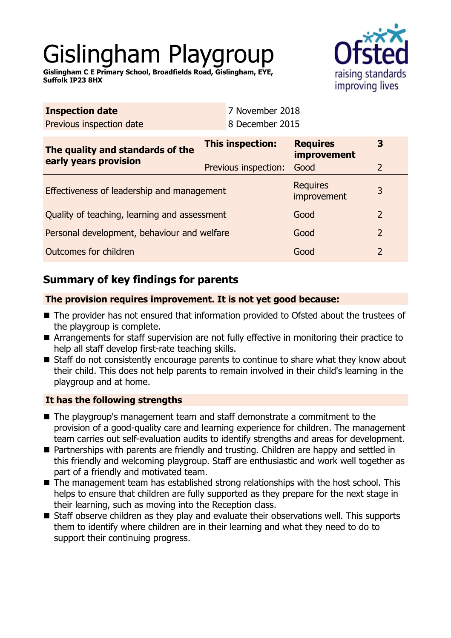# Gislingham Playgroup

raising standards improving lives

**Gislingham C E Primary School, Broadfields Road, Gislingham, EYE, Suffolk IP23 8HX**

| <b>Inspection date</b>                                    | 7 November 2018      |                                       |                |
|-----------------------------------------------------------|----------------------|---------------------------------------|----------------|
| Previous inspection date                                  | 8 December 2015      |                                       |                |
| The quality and standards of the<br>early years provision | This inspection:     | <b>Requires</b><br><b>improvement</b> | 3              |
|                                                           | Previous inspection: | Good                                  | $\overline{2}$ |
| Effectiveness of leadership and management                |                      | <b>Requires</b><br>improvement        | 3              |
| Quality of teaching, learning and assessment              |                      | Good                                  | $\overline{2}$ |
| Personal development, behaviour and welfare               |                      | Good                                  | $\overline{2}$ |
| Outcomes for children                                     |                      | Good                                  | $\overline{2}$ |

# **Summary of key findings for parents**

## **The provision requires improvement. It is not yet good because:**

- The provider has not ensured that information provided to Ofsted about the trustees of the playgroup is complete.
- Arrangements for staff supervision are not fully effective in monitoring their practice to help all staff develop first-rate teaching skills.
- Staff do not consistently encourage parents to continue to share what they know about their child. This does not help parents to remain involved in their child's learning in the playgroup and at home.

## **It has the following strengths**

- The playgroup's management team and staff demonstrate a commitment to the provision of a good-quality care and learning experience for children. The management team carries out self-evaluation audits to identify strengths and areas for development.
- Partnerships with parents are friendly and trusting. Children are happy and settled in this friendly and welcoming playgroup. Staff are enthusiastic and work well together as part of a friendly and motivated team.
- $\blacksquare$  The management team has established strong relationships with the host school. This helps to ensure that children are fully supported as they prepare for the next stage in their learning, such as moving into the Reception class.
- Staff observe children as they play and evaluate their observations well. This supports them to identify where children are in their learning and what they need to do to support their continuing progress.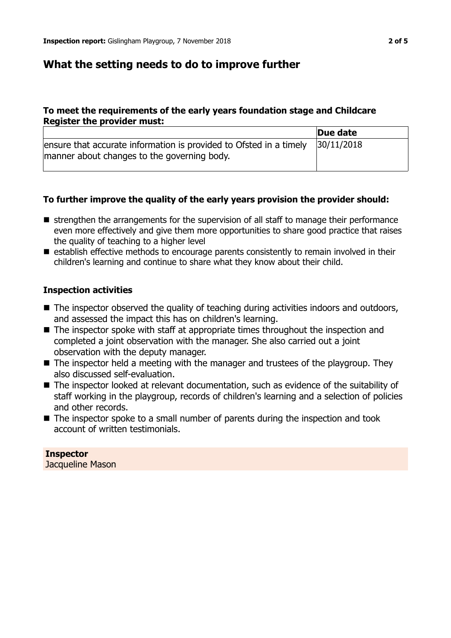## **What the setting needs to do to improve further**

## **To meet the requirements of the early years foundation stage and Childcare Register the provider must:**

|                                                                                                                   | Due date   |
|-------------------------------------------------------------------------------------------------------------------|------------|
| ensure that accurate information is provided to Ofsted in a timely<br>manner about changes to the governing body. | 30/11/2018 |

## **To further improve the quality of the early years provision the provider should:**

- $\blacksquare$  strengthen the arrangements for the supervision of all staff to manage their performance even more effectively and give them more opportunities to share good practice that raises the quality of teaching to a higher level
- $\blacksquare$  establish effective methods to encourage parents consistently to remain involved in their children's learning and continue to share what they know about their child.

#### **Inspection activities**

- $\blacksquare$  The inspector observed the quality of teaching during activities indoors and outdoors, and assessed the impact this has on children's learning.
- $\blacksquare$  The inspector spoke with staff at appropriate times throughout the inspection and completed a joint observation with the manager. She also carried out a joint observation with the deputy manager.
- $\blacksquare$  The inspector held a meeting with the manager and trustees of the playgroup. They also discussed self-evaluation.
- The inspector looked at relevant documentation, such as evidence of the suitability of staff working in the playgroup, records of children's learning and a selection of policies and other records.
- $\blacksquare$  The inspector spoke to a small number of parents during the inspection and took account of written testimonials.

## **Inspector**

Jacqueline Mason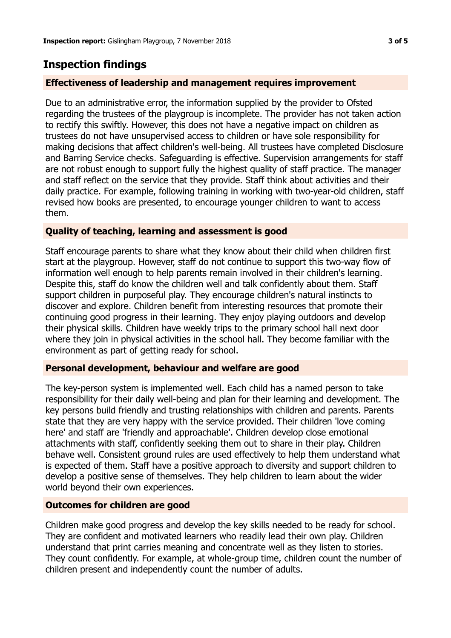# **Inspection findings**

### **Effectiveness of leadership and management requires improvement**

Due to an administrative error, the information supplied by the provider to Ofsted regarding the trustees of the playgroup is incomplete. The provider has not taken action to rectify this swiftly. However, this does not have a negative impact on children as trustees do not have unsupervised access to children or have sole responsibility for making decisions that affect children's well-being. All trustees have completed Disclosure and Barring Service checks. Safeguarding is effective. Supervision arrangements for staff are not robust enough to support fully the highest quality of staff practice. The manager and staff reflect on the service that they provide. Staff think about activities and their daily practice. For example, following training in working with two-year-old children, staff revised how books are presented, to encourage younger children to want to access them.

#### **Quality of teaching, learning and assessment is good**

Staff encourage parents to share what they know about their child when children first start at the playgroup. However, staff do not continue to support this two-way flow of information well enough to help parents remain involved in their children's learning. Despite this, staff do know the children well and talk confidently about them. Staff support children in purposeful play. They encourage children's natural instincts to discover and explore. Children benefit from interesting resources that promote their continuing good progress in their learning. They enjoy playing outdoors and develop their physical skills. Children have weekly trips to the primary school hall next door where they join in physical activities in the school hall. They become familiar with the environment as part of getting ready for school.

#### **Personal development, behaviour and welfare are good**

The key-person system is implemented well. Each child has a named person to take responsibility for their daily well-being and plan for their learning and development. The key persons build friendly and trusting relationships with children and parents. Parents state that they are very happy with the service provided. Their children 'love coming here' and staff are 'friendly and approachable'. Children develop close emotional attachments with staff, confidently seeking them out to share in their play. Children behave well. Consistent ground rules are used effectively to help them understand what is expected of them. Staff have a positive approach to diversity and support children to develop a positive sense of themselves. They help children to learn about the wider world beyond their own experiences.

#### **Outcomes for children are good**

Children make good progress and develop the key skills needed to be ready for school. They are confident and motivated learners who readily lead their own play. Children understand that print carries meaning and concentrate well as they listen to stories. They count confidently. For example, at whole-group time, children count the number of children present and independently count the number of adults.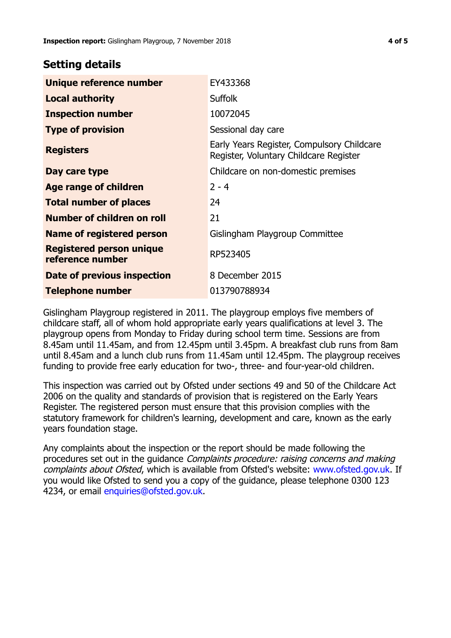## **Setting details**

| Unique reference number                             | EY433368                                                                             |
|-----------------------------------------------------|--------------------------------------------------------------------------------------|
| <b>Local authority</b>                              | <b>Suffolk</b>                                                                       |
| <b>Inspection number</b>                            | 10072045                                                                             |
| <b>Type of provision</b>                            | Sessional day care                                                                   |
| <b>Registers</b>                                    | Early Years Register, Compulsory Childcare<br>Register, Voluntary Childcare Register |
| Day care type                                       | Childcare on non-domestic premises                                                   |
| Age range of children                               | $2 - 4$                                                                              |
| <b>Total number of places</b>                       | 24                                                                                   |
| Number of children on roll                          | 21                                                                                   |
| Name of registered person                           | Gislingham Playgroup Committee                                                       |
| <b>Registered person unique</b><br>reference number | RP523405                                                                             |
| Date of previous inspection                         | 8 December 2015                                                                      |
| <b>Telephone number</b>                             | 013790788934                                                                         |

Gislingham Playgroup registered in 2011. The playgroup employs five members of childcare staff, all of whom hold appropriate early years qualifications at level 3. The playgroup opens from Monday to Friday during school term time. Sessions are from 8.45am until 11.45am, and from 12.45pm until 3.45pm. A breakfast club runs from 8am until 8.45am and a lunch club runs from 11.45am until 12.45pm. The playgroup receives funding to provide free early education for two-, three- and four-year-old children.

This inspection was carried out by Ofsted under sections 49 and 50 of the Childcare Act 2006 on the quality and standards of provision that is registered on the Early Years Register. The registered person must ensure that this provision complies with the statutory framework for children's learning, development and care, known as the early years foundation stage.

Any complaints about the inspection or the report should be made following the procedures set out in the guidance Complaints procedure: raising concerns and making complaints about Ofsted, which is available from Ofsted's website: www.ofsted.gov.uk. If you would like Ofsted to send you a copy of the guidance, please telephone 0300 123 4234, or email [enquiries@ofsted.gov.uk.](mailto:enquiries@ofsted.gov.uk)